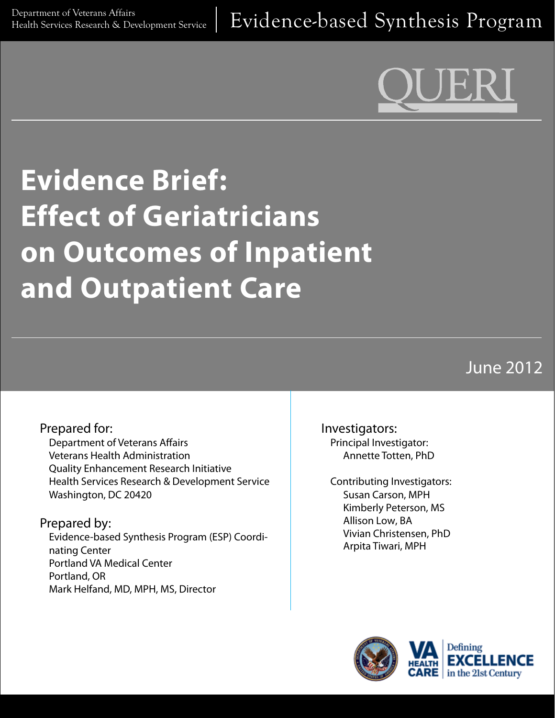# **Evidence Brief: Effect of Geriatricians on Outcomes of Inpatient and Outpatient Care**

June 2012

### Prepared for:

Department of Veterans Affairs Veterans Health Administration Quality Enhancement Research Initiative Health Services Research & Development Service Washington, DC 20420

#### Prepared by:

Evidence-based Synthesis Program (ESP) Coordinating Center Portland VA Medical Center Portland, OR Mark Helfand, MD, MPH, MS, Director

Investigators: Principal Investigator: Annette Totten, PhD

Contributing Investigators: Susan Carson, MPH Kimberly Peterson, MS Allison Low, BA Vivian Christensen, PhD Arpita Tiwari, MPH

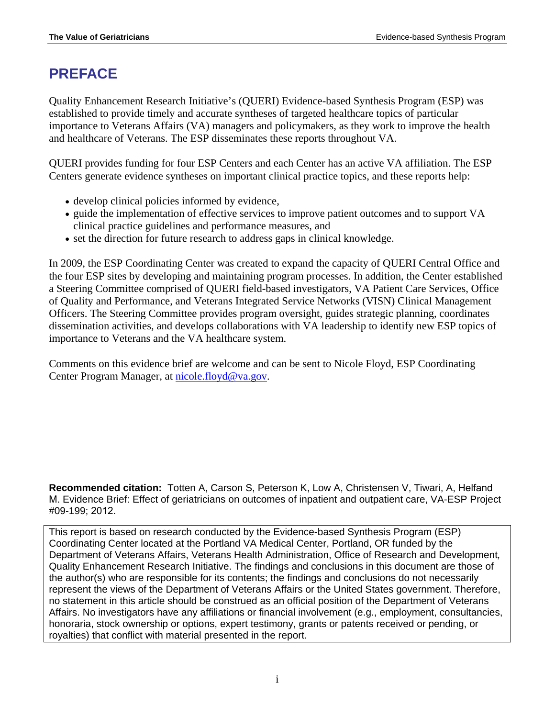## **PREFACE**

Quality Enhancement Research Initiative's (QUERI) Evidence-based Synthesis Program (ESP) was established to provide timely and accurate syntheses of targeted healthcare topics of particular importance to Veterans Affairs (VA) managers and policymakers, as they work to improve the health and healthcare of Veterans. The ESP disseminates these reports throughout VA.

QUERI provides funding for four ESP Centers and each Center has an active VA affiliation. The ESP Centers generate evidence syntheses on important clinical practice topics, and these reports help:

- develop clinical policies informed by evidence,
- guide the implementation of effective services to improve patient outcomes and to support VA clinical practice guidelines and performance measures, and
- set the direction for future research to address gaps in clinical knowledge.

In 2009, the ESP Coordinating Center was created to expand the capacity of QUERI Central Office and the four ESP sites by developing and maintaining program processes. In addition, the Center established a Steering Committee comprised of QUERI field-based investigators, VA Patient Care Services, Office of Quality and Performance, and Veterans Integrated Service Networks (VISN) Clinical Management Officers. The Steering Committee provides program oversight, guides strategic planning, coordinates dissemination activities, and develops collaborations with VA leadership to identify new ESP topics of importance to Veterans and the VA healthcare system.

Comments on this evidence brief are welcome and can be sent to Nicole Floyd, ESP Coordinating Center Program Manager, at nicole.floyd@va.gov.

**Recommended citation:** Totten A, Carson S, Peterson K, Low A, Christensen V, Tiwari, A, Helfand M. Evidence Brief: Effect of geriatricians on outcomes of inpatient and outpatient care, VA-ESP Project #09-199; 2012.

This report is based on research conducted by the Evidence-based Synthesis Program (ESP) Coordinating Center located at the Portland VA Medical Center, Portland, OR funded by the Department of Veterans Affairs, Veterans Health Administration, Office of Research and Development*,*  Quality Enhancement Research Initiative. The findings and conclusions in this document are those of the author(s) who are responsible for its contents; the findings and conclusions do not necessarily represent the views of the Department of Veterans Affairs or the United States government. Therefore, no statement in this article should be construed as an official position of the Department of Veterans Affairs. No investigators have any affiliations or financial involvement (e.g., employment, consultancies, honoraria, stock ownership or options, expert testimony, grants or patents received or pending, or royalties) that conflict with material presented in the report.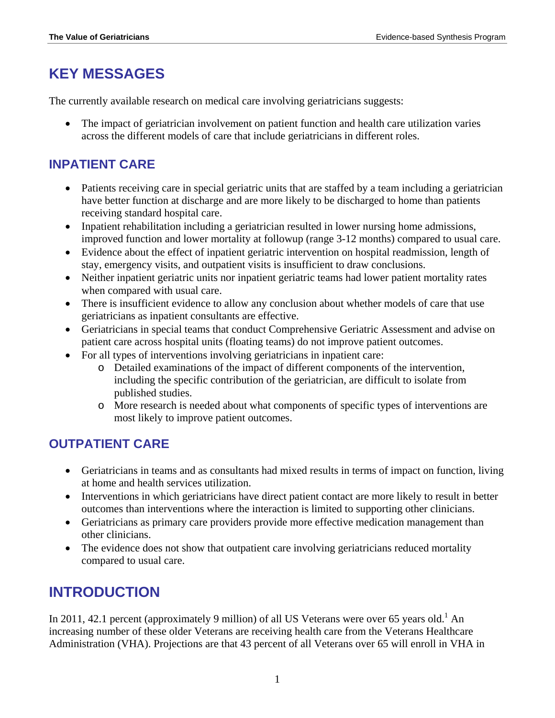## **KEY MESSAGES**

The currently available research on medical care involving geriatricians suggests:

• The impact of geriatrician involvement on patient function and health care utilization varies across the different models of care that include geriatricians in different roles.

## **INPATIENT CARE**

- Patients receiving care in special geriatric units that are staffed by a team including a geriatrician have better function at discharge and are more likely to be discharged to home than patients receiving standard hospital care.
- Inpatient rehabilitation including a geriatrician resulted in lower nursing home admissions, improved function and lower mortality at followup (range 3-12 months) compared to usual care.
- Evidence about the effect of inpatient geriatric intervention on hospital readmission, length of stay, emergency visits, and outpatient visits is insufficient to draw conclusions.
- Neither inpatient geriatric units nor inpatient geriatric teams had lower patient mortality rates when compared with usual care.
- There is insufficient evidence to allow any conclusion about whether models of care that use geriatricians as inpatient consultants are effective.
- Geriatricians in special teams that conduct Comprehensive Geriatric Assessment and advise on patient care across hospital units (floating teams) do not improve patient outcomes.
- For all types of interventions involving geriatricians in inpatient care:
	- o Detailed examinations of the impact of different components of the intervention, including the specific contribution of the geriatrician, are difficult to isolate from published studies.
	- o More research is needed about what components of specific types of interventions are most likely to improve patient outcomes.

## **OUTPATIENT CARE**

- Geriatricians in teams and as consultants had mixed results in terms of impact on function, living at home and health services utilization.
- Interventions in which geriatricians have direct patient contact are more likely to result in better outcomes than interventions where the interaction is limited to supporting other clinicians.
- Geriatricians as primary care providers provide more effective medication management than other clinicians.
- The evidence does not show that outpatient care involving geriatricians reduced mortality compared to usual care.

## **INTRODUCTION**

In 2011, 42.1 percent (approximately 9 million) of all US Veterans were over 65 years old.<sup>1</sup> An increasing number of these older Veterans are receiving health care from the Veterans Healthcare Administration (VHA). Projections are that 43 percent of all Veterans over 65 will enroll in VHA in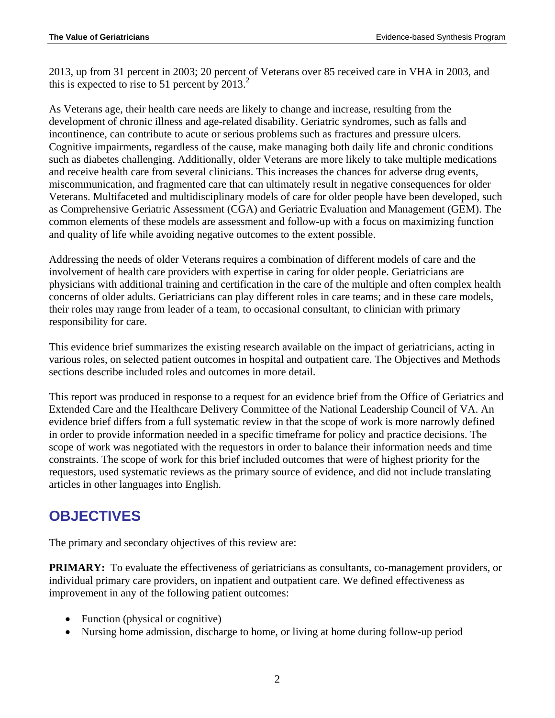2013, up from 31 percent in 2003; 20 percent of Veterans over 85 received care in VHA in 2003, and this is expected to rise to 51 percent by  $2013.<sup>2</sup>$ 

As Veterans age, their health care needs are likely to change and increase, resulting from the development of chronic illness and age-related disability. Geriatric syndromes, such as falls and incontinence, can contribute to acute or serious problems such as fractures and pressure ulcers. Cognitive impairments, regardless of the cause, make managing both daily life and chronic conditions such as diabetes challenging. Additionally, older Veterans are more likely to take multiple medications and receive health care from several clinicians. This increases the chances for adverse drug events, miscommunication, and fragmented care that can ultimately result in negative consequences for older Veterans. Multifaceted and multidisciplinary models of care for older people have been developed, such as Comprehensive Geriatric Assessment (CGA) and Geriatric Evaluation and Management (GEM). The common elements of these models are assessment and follow-up with a focus on maximizing function and quality of life while avoiding negative outcomes to the extent possible.

Addressing the needs of older Veterans requires a combination of different models of care and the involvement of health care providers with expertise in caring for older people. Geriatricians are physicians with additional training and certification in the care of the multiple and often complex health concerns of older adults. Geriatricians can play different roles in care teams; and in these care models, their roles may range from leader of a team, to occasional consultant, to clinician with primary responsibility for care.

This evidence brief summarizes the existing research available on the impact of geriatricians, acting in various roles, on selected patient outcomes in hospital and outpatient care. The Objectives and Methods sections describe included roles and outcomes in more detail.

This report was produced in response to a request for an evidence brief from the Office of Geriatrics and Extended Care and the Healthcare Delivery Committee of the National Leadership Council of VA. An evidence brief differs from a full systematic review in that the scope of work is more narrowly defined in order to provide information needed in a specific timeframe for policy and practice decisions. The scope of work was negotiated with the requestors in order to balance their information needs and time constraints. The scope of work for this brief included outcomes that were of highest priority for the requestors, used systematic reviews as the primary source of evidence, and did not include translating articles in other languages into English.

## **OBJECTIVES**

The primary and secondary objectives of this review are:

**PRIMARY:** To evaluate the effectiveness of geriatricians as consultants, co-management providers, or individual primary care providers, on inpatient and outpatient care. We defined effectiveness as improvement in any of the following patient outcomes:

- Function (physical or cognitive)
- Nursing home admission, discharge to home, or living at home during follow-up period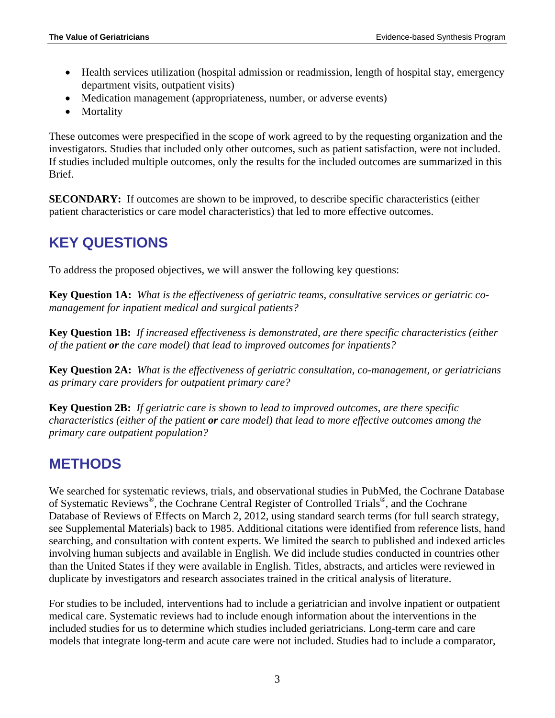- Health services utilization (hospital admission or readmission, length of hospital stay, emergency department visits, outpatient visits)
- Medication management (appropriateness, number, or adverse events)
- Mortality

These outcomes were prespecified in the scope of work agreed to by the requesting organization and the investigators. Studies that included only other outcomes, such as patient satisfaction, were not included. If studies included multiple outcomes, only the results for the included outcomes are summarized in this Brief.

**SECONDARY:** If outcomes are shown to be improved, to describe specific characteristics (either patient characteristics or care model characteristics) that led to more effective outcomes.

## **KEY QUESTIONS**

To address the proposed objectives, we will answer the following key questions:

**Key Question 1A:** *What is the effectiveness of geriatric teams, consultative services or geriatric comanagement for inpatient medical and surgical patients?*

**Key Question 1B:** *If increased effectiveness is demonstrated, are there specific characteristics (either of the patient or the care model) that lead to improved outcomes for inpatients?* 

**Key Question 2A:** *What is the effectiveness of geriatric consultation, co-management, or geriatricians as primary care providers for outpatient primary care?*

**Key Question 2B:** *If geriatric care is shown to lead to improved outcomes, are there specific characteristics (either of the patient or care model) that lead to more effective outcomes among the primary care outpatient population?* 

## **METHODS**

We searched for systematic reviews, trials, and observational studies in PubMed, the Cochrane Database of Systematic Reviews®, the Cochrane Central Register of Controlled Trials®, and the Cochrane Database of Reviews of Effects on March 2, 2012, using standard search terms (for full search strategy, see Supplemental Materials) back to 1985. Additional citations were identified from reference lists, hand searching, and consultation with content experts. We limited the search to published and indexed articles involving human subjects and available in English. We did include studies conducted in countries other than the United States if they were available in English. Titles, abstracts, and articles were reviewed in duplicate by investigators and research associates trained in the critical analysis of literature.

For studies to be included, interventions had to include a geriatrician and involve inpatient or outpatient medical care. Systematic reviews had to include enough information about the interventions in the included studies for us to determine which studies included geriatricians. Long-term care and care models that integrate long-term and acute care were not included. Studies had to include a comparator,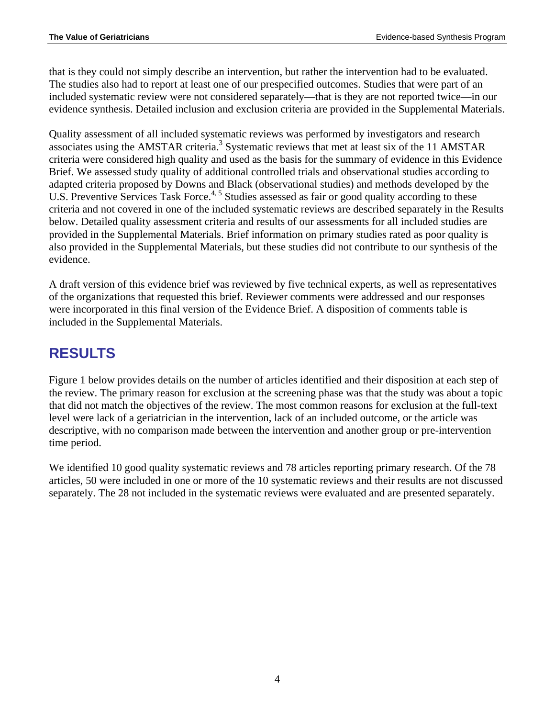that is they could not simply describe an intervention, but rather the intervention had to be evaluated. The studies also had to report at least one of our prespecified outcomes. Studies that were part of an included systematic review were not considered separately—that is they are not reported twice—in our evidence synthesis. Detailed inclusion and exclusion criteria are provided in the Supplemental Materials.

Quality assessment of all included systematic reviews was performed by investigators and research associates using the AMSTAR criteria.<sup>3</sup> Systematic reviews that met at least six of the 11 AMSTAR criteria were considered high quality and used as the basis for the summary of evidence in this Evidence Brief. We assessed study quality of additional controlled trials and observational studies according to adapted criteria proposed by Downs and Black (observational studies) and methods developed by the U.S. Preventive Services Task Force.<sup>4, 5</sup> Studies assessed as fair or good quality according to these criteria and not covered in one of the included systematic reviews are described separately in the Results below. Detailed quality assessment criteria and results of our assessments for all included studies are provided in the Supplemental Materials. Brief information on primary studies rated as poor quality is also provided in the Supplemental Materials, but these studies did not contribute to our synthesis of the evidence.

A draft version of this evidence brief was reviewed by five technical experts, as well as representatives of the organizations that requested this brief. Reviewer comments were addressed and our responses were incorporated in this final version of the Evidence Brief. A disposition of comments table is included in the Supplemental Materials.

## **RESULTS**

Figure 1 below provides details on the number of articles identified and their disposition at each step of the review. The primary reason for exclusion at the screening phase was that the study was about a topic that did not match the objectives of the review. The most common reasons for exclusion at the full-text level were lack of a geriatrician in the intervention, lack of an included outcome, or the article was descriptive, with no comparison made between the intervention and another group or pre-intervention time period.

We identified 10 good quality systematic reviews and 78 articles reporting primary research. Of the 78 articles, 50 were included in one or more of the 10 systematic reviews and their results are not discussed separately. The 28 not included in the systematic reviews were evaluated and are presented separately.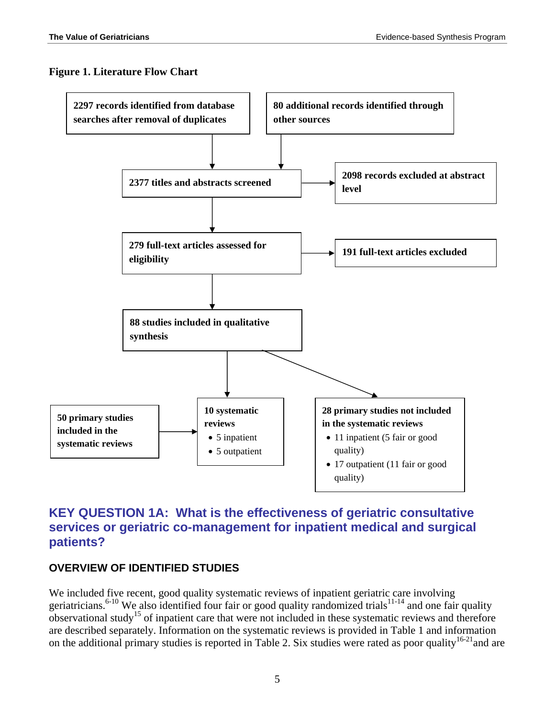#### **Figure 1. Literature Flow Chart**



#### **KEY QUESTION 1A: What is the effectiveness of geriatric consultative services or geriatric co-management for inpatient medical and surgical patients?**

#### **OVERVIEW OF IDENTIFIED STUDIES**

We included five recent, good quality systematic reviews of inpatient geriatric care involving geriatricians.<sup>6-10</sup> We also identified four fair or good quality randomized trials<sup>11-14</sup> and one fair quality observational study<sup>15</sup> of inpatient care that were not included in these systematic reviews and therefore are described separately. Information on the systematic reviews is provided in Table 1 and information on the additional primary studies is reported in Table 2. Six studies were rated as poor quality<sup>16-21</sup>and are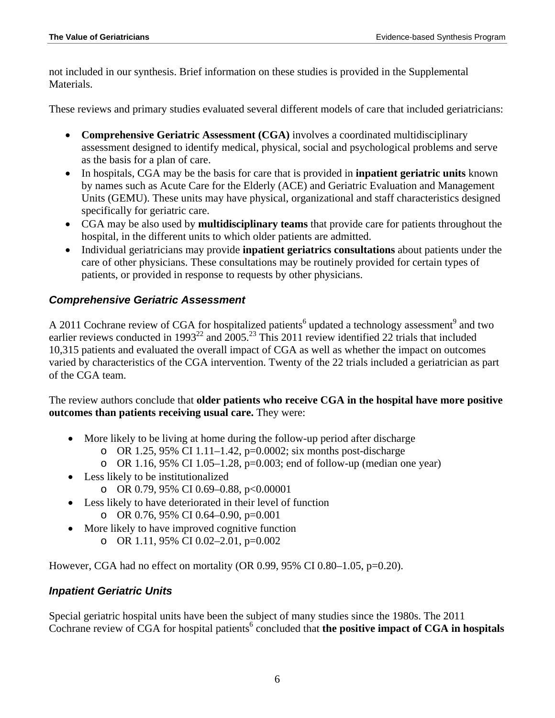not included in our synthesis. Brief information on these studies is provided in the Supplemental Materials.

These reviews and primary studies evaluated several different models of care that included geriatricians:

- **Comprehensive Geriatric Assessment (CGA)** involves a coordinated multidisciplinary assessment designed to identify medical, physical, social and psychological problems and serve as the basis for a plan of care.
- In hospitals, CGA may be the basis for care that is provided in **inpatient geriatric units** known by names such as Acute Care for the Elderly (ACE) and Geriatric Evaluation and Management Units (GEMU). These units may have physical, organizational and staff characteristics designed specifically for geriatric care.
- CGA may be also used by **multidisciplinary teams** that provide care for patients throughout the hospital, in the different units to which older patients are admitted.
- Individual geriatricians may provide **inpatient geriatrics consultations** about patients under the care of other physicians. These consultations may be routinely provided for certain types of patients, or provided in response to requests by other physicians.

#### *Comprehensive Geriatric Assessment*

A 2011 Cochrane review of CGA for hospitalized patients<sup>6</sup> updated a technology assessment<sup>9</sup> and two earlier reviews conducted in 1993<sup>22</sup> and 2005.<sup>23</sup> This 2011 review identified 22 trials that included 10,315 patients and evaluated the overall impact of CGA as well as whether the impact on outcomes varied by characteristics of the CGA intervention. Twenty of the 22 trials included a geriatrician as part of the CGA team.

The review authors conclude that **older patients who receive CGA in the hospital have more positive outcomes than patients receiving usual care.** They were:

- More likely to be living at home during the follow-up period after discharge
	- o OR 1.25, 95% CI 1.11–1.42, p=0.0002; six months post-discharge
	- o OR 1.16, 95% CI 1.05–1.28, p=0.003; end of follow-up (median one year)
- Less likely to be institutionalized
	- o OR 0.79, 95% CI 0.69–0.88, p<0.00001
- Less likely to have deteriorated in their level of function
	- o OR 0.76, 95% CI 0.64–0.90, p=0.001
- More likely to have improved cognitive function
	- o OR 1.11, 95% CI 0.02–2.01, p=0.002

However, CGA had no effect on mortality (OR 0.99, 95% CI 0.80–1.05, p=0.20).

#### *Inpatient Geriatric Units*

Special geriatric hospital units have been the subject of many studies since the 1980s. The 2011 Cochrane review of CGA for hospital patients<sup>6</sup> concluded that the positive impact of CGA in hospitals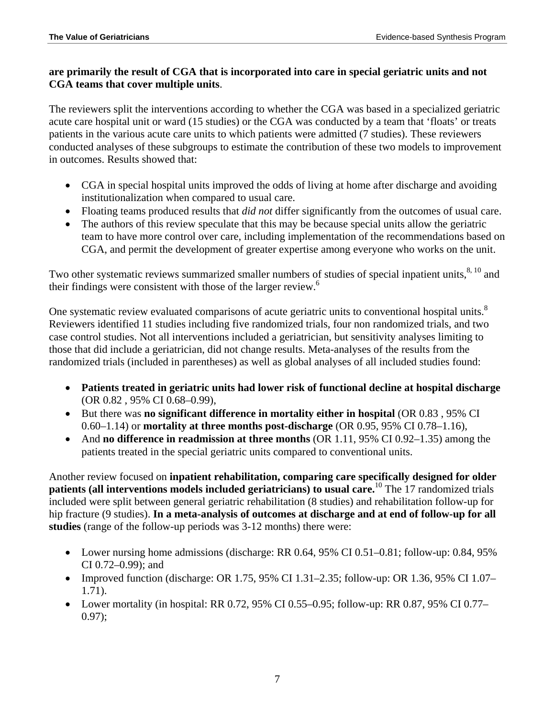#### **are primarily the result of CGA that is incorporated into care in special geriatric units and not CGA teams that cover multiple units**.

The reviewers split the interventions according to whether the CGA was based in a specialized geriatric acute care hospital unit or ward (15 studies) or the CGA was conducted by a team that 'floats' or treats patients in the various acute care units to which patients were admitted (7 studies). These reviewers conducted analyses of these subgroups to estimate the contribution of these two models to improvement in outcomes. Results showed that:

- CGA in special hospital units improved the odds of living at home after discharge and avoiding institutionalization when compared to usual care.
- Floating teams produced results that *did not* differ significantly from the outcomes of usual care.
- The authors of this review speculate that this may be because special units allow the geriatric team to have more control over care, including implementation of the recommendations based on CGA, and permit the development of greater expertise among everyone who works on the unit.

Two other systematic reviews summarized smaller numbers of studies of special inpatient units,<sup>8, 10</sup> and their findings were consistent with those of the larger review.<sup>6</sup>

One systematic review evaluated comparisons of acute geriatric units to conventional hospital units.<sup>8</sup> Reviewers identified 11 studies including five randomized trials, four non randomized trials, and two case control studies. Not all interventions included a geriatrician, but sensitivity analyses limiting to those that did include a geriatrician, did not change results. Meta-analyses of the results from the randomized trials (included in parentheses) as well as global analyses of all included studies found:

- **Patients treated in geriatric units had lower risk of functional decline at hospital discharge** (OR 0.82 , 95% CI 0.68–0.99),
- But there was **no significant difference in mortality either in hospital** (OR 0.83, 95% CI 0.60–1.14) or **mortality at three months post-discharge** (OR 0.95, 95% CI 0.78–1.16),
- And **no difference in readmission at three months** (OR 1.11, 95% CI 0.92–1.35) among the patients treated in the special geriatric units compared to conventional units.

Another review focused on **inpatient rehabilitation, comparing care specifically designed for older patients (all interventions models included geriatricians) to usual care.**<sup>10</sup> The 17 randomized trials included were split between general geriatric rehabilitation (8 studies) and rehabilitation follow-up for hip fracture (9 studies). **In a meta-analysis of outcomes at discharge and at end of follow-up for all studies** (range of the follow-up periods was 3-12 months) there were:

- Lower nursing home admissions (discharge: RR 0.64, 95% CI 0.51–0.81; follow-up: 0.84, 95% CI 0.72–0.99); and
- Improved function (discharge: OR 1.75, 95% CI 1.31–2.35; follow-up: OR 1.36, 95% CI 1.07– 1.71).
- Lower mortality (in hospital: RR 0.72, 95% CI 0.55–0.95; follow-up: RR 0.87, 95% CI 0.77– 0.97);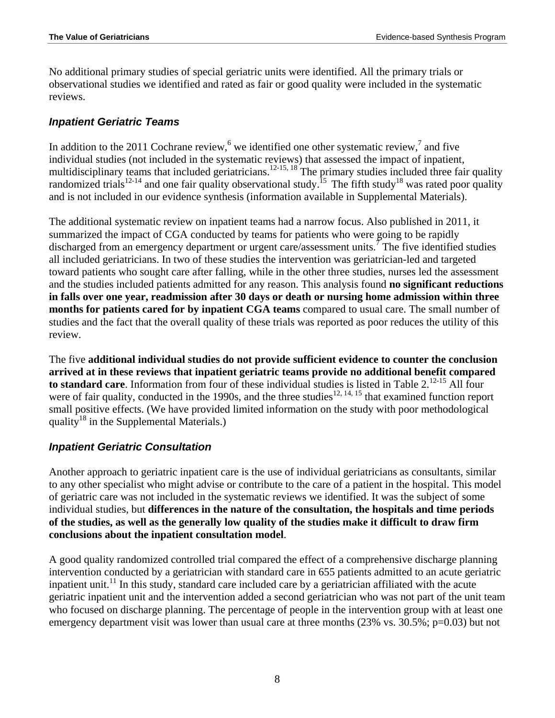No additional primary studies of special geriatric units were identified. All the primary trials or observational studies we identified and rated as fair or good quality were included in the systematic reviews.

#### *Inpatient Geriatric Teams*

In addition to the 2011 Cochrane review,  $6$  we identified one other systematic review,  $7$  and five individual studies (not included in the systematic reviews) that assessed the impact of inpatient, multidisciplinary teams that included geriatricians.<sup>12-15, 18</sup> The primary studies included three fair quality randomized trials<sup>12-14</sup> and one fair quality observational study.<sup>15</sup> The fifth study<sup>18</sup> was rated poor quality and is not included in our evidence synthesis (information available in Supplemental Materials).

The additional systematic review on inpatient teams had a narrow focus. Also published in 2011, it summarized the impact of CGA conducted by teams for patients who were going to be rapidly discharged from an emergency department or urgent care/assessment units.<sup>7</sup> The five identified studies all included geriatricians. In two of these studies the intervention was geriatrician-led and targeted toward patients who sought care after falling, while in the other three studies, nurses led the assessment and the studies included patients admitted for any reason. This analysis found **no significant reductions in falls over one year, readmission after 30 days or death or nursing home admission within three months for patients cared for by inpatient CGA teams** compared to usual care. The small number of studies and the fact that the overall quality of these trials was reported as poor reduces the utility of this review.

The five **additional individual studies do not provide sufficient evidence to counter the conclusion arrived at in these reviews that inpatient geriatric teams provide no additional benefit compared**  to standard care. Information from four of these individual studies is listed in Table 2.<sup>12-15</sup> All four were of fair quality, conducted in the 1990s, and the three studies<sup>12, 14, 15</sup> that examined function report small positive effects. (We have provided limited information on the study with poor methodological quality<sup>18</sup> in the Supplemental Materials.)

#### *Inpatient Geriatric Consultation*

Another approach to geriatric inpatient care is the use of individual geriatricians as consultants, similar to any other specialist who might advise or contribute to the care of a patient in the hospital. This model of geriatric care was not included in the systematic reviews we identified. It was the subject of some individual studies, but **differences in the nature of the consultation, the hospitals and time periods of the studies, as well as the generally low quality of the studies make it difficult to draw firm conclusions about the inpatient consultation model**.

A good quality randomized controlled trial compared the effect of a comprehensive discharge planning intervention conducted by a geriatrician with standard care in 655 patients admitted to an acute geriatric inpatient unit.<sup>11</sup> In this study, standard care included care by a geriatrician affiliated with the acute geriatric inpatient unit and the intervention added a second geriatrician who was not part of the unit team who focused on discharge planning. The percentage of people in the intervention group with at least one emergency department visit was lower than usual care at three months (23% vs. 30.5%; p=0.03) but not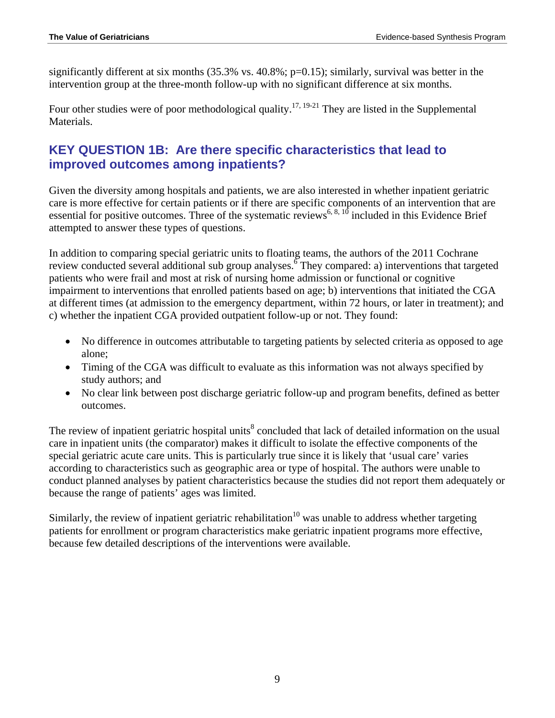significantly different at six months  $(35.3\% \text{ vs. } 40.8\%; \text{ p=0.15})$ ; similarly, survival was better in the intervention group at the three-month follow-up with no significant difference at six months.

Four other studies were of poor methodological quality.<sup>17, 19-21</sup> They are listed in the Supplemental Materials.

#### **KEY QUESTION 1B: Are there specific characteristics that lead to improved outcomes among inpatients?**

Given the diversity among hospitals and patients, we are also interested in whether inpatient geriatric care is more effective for certain patients or if there are specific components of an intervention that are essential for positive outcomes. Three of the systematic reviews<sup>6, 8, 10</sup> included in this Evidence Brief attempted to answer these types of questions.

In addition to comparing special geriatric units to floating teams, the authors of the 2011 Cochrane review conducted several additional sub group analyses.  $6$  They compared: a) interventions that targeted patients who were frail and most at risk of nursing home admission or functional or cognitive impairment to interventions that enrolled patients based on age; b) interventions that initiated the CGA at different times (at admission to the emergency department, within 72 hours, or later in treatment); and c) whether the inpatient CGA provided outpatient follow-up or not. They found:

- No difference in outcomes attributable to targeting patients by selected criteria as opposed to age alone;
- Timing of the CGA was difficult to evaluate as this information was not always specified by study authors; and
- No clear link between post discharge geriatric follow-up and program benefits, defined as better outcomes.

The review of inpatient geriatric hospital units<sup>8</sup> concluded that lack of detailed information on the usual care in inpatient units (the comparator) makes it difficult to isolate the effective components of the special geriatric acute care units. This is particularly true since it is likely that 'usual care' varies according to characteristics such as geographic area or type of hospital. The authors were unable to conduct planned analyses by patient characteristics because the studies did not report them adequately or because the range of patients' ages was limited.

Similarly, the review of inpatient geriatric rehabilitation<sup>10</sup> was unable to address whether targeting patients for enrollment or program characteristics make geriatric inpatient programs more effective, because few detailed descriptions of the interventions were available.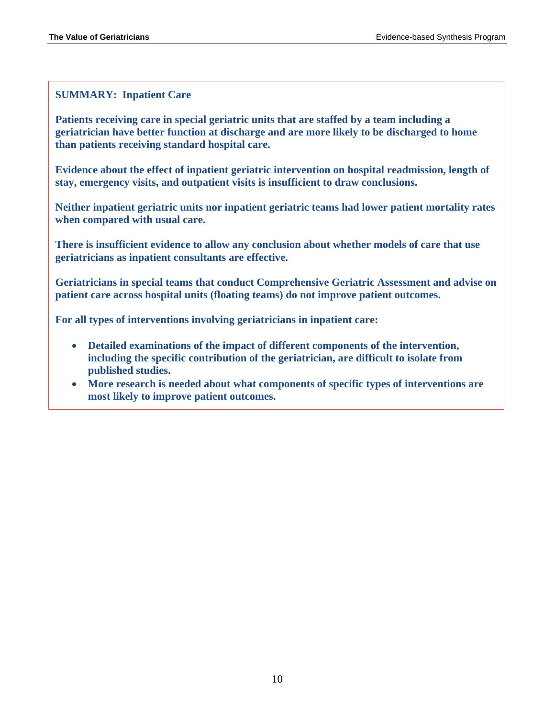#### **SUMMARY: Inpatient Care**

**Patients receiving care in special geriatric units that are staffed by a team including a geriatrician have better function at discharge and are more likely to be discharged to home than patients receiving standard hospital care.** 

**Evidence about the effect of inpatient geriatric intervention on hospital readmission, length of stay, emergency visits, and outpatient visits is insufficient to draw conclusions.** 

**Neither inpatient geriatric units nor inpatient geriatric teams had lower patient mortality rates when compared with usual care.** 

**There is insufficient evidence to allow any conclusion about whether models of care that use geriatricians as inpatient consultants are effective.** 

**Geriatricians in special teams that conduct Comprehensive Geriatric Assessment and advise on patient care across hospital units (floating teams) do not improve patient outcomes.** 

**For all types of interventions involving geriatricians in inpatient care:** 

- **Detailed examinations of the impact of different components of the intervention, including the specific contribution of the geriatrician, are difficult to isolate from published studies.**
- **More research is needed about what components of specific types of interventions are most likely to improve patient outcomes.**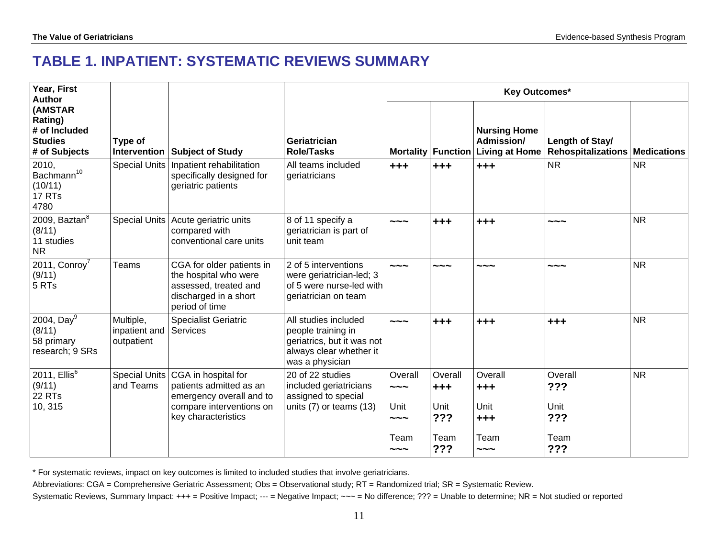## **TABLE 1. INPATIENT: SYSTEMATIC REVIEWS SUMMARY**

| Year, First<br><b>Author</b>                                           |                                          |                                                                                                                               |                                                                                                                        | Key Outcomes*                                                                 |                                                  |                                                               |                                              |                    |  |
|------------------------------------------------------------------------|------------------------------------------|-------------------------------------------------------------------------------------------------------------------------------|------------------------------------------------------------------------------------------------------------------------|-------------------------------------------------------------------------------|--------------------------------------------------|---------------------------------------------------------------|----------------------------------------------|--------------------|--|
| (AMSTAR<br>Rating)<br># of Included<br><b>Studies</b><br># of Subjects | Type of<br>Intervention                  | Subject of Study                                                                                                              | Geriatrician<br><b>Role/Tasks</b>                                                                                      |                                                                               | <b>Mortality Function</b>                        | <b>Nursing Home</b><br>Admission/<br><b>Living at Home</b>    | Length of Stay/<br><b>Rehospitalizations</b> | <b>Medications</b> |  |
| 2010,<br>Bachmann <sup>10</sup><br>(10/11)<br>17 RTs<br>4780           | <b>Special Units</b>                     | Inpatient rehabilitation<br>specifically designed for<br>geriatric patients                                                   | All teams included<br>geriatricians                                                                                    | $+ + +$                                                                       | $+ + +$                                          | $+ + +$                                                       | <b>NR</b>                                    | <b>NR</b>          |  |
| 2009, Baztan <sup>8</sup><br>(8/11)<br>11 studies<br><b>NR</b>         | <b>Special Units</b>                     | Acute geriatric units<br>compared with<br>conventional care units                                                             | 8 of 11 specify a<br>geriatrician is part of<br>unit team                                                              | $\sim\, \sim$                                                                 | $+ + +$                                          | $+ + +$                                                       | $\sim\, \sim$ $\sim$                         | <b>NR</b>          |  |
| 2011, Conroy <sup>7</sup><br>(9/11)<br>5 RTs                           | <b>Teams</b>                             | CGA for older patients in<br>the hospital who were<br>assessed, treated and<br>discharged in a short<br>period of time        | 2 of 5 interventions<br>were geriatrician-led; 3<br>of 5 were nurse-led with<br>geriatrician on team                   | $\sim\sim\sim$                                                                | $\sim\, \sim$                                    | $\sim\, \sim$                                                 | $\sim\, \sim$                                | <b>NR</b>          |  |
| 2004, Day $^9$<br>(8/11)<br>58 primary<br>research; 9 SRs              | Multiple,<br>inpatient and<br>outpatient | <b>Specialist Geriatric</b><br>Services                                                                                       | All studies included<br>people training in<br>geriatrics, but it was not<br>always clear whether it<br>was a physician | $\sim\sim\sim$                                                                | $+ + +$                                          | $+ + +$                                                       | $+ + +$                                      | <b>NR</b>          |  |
| 2011, $Ellis6$<br>(9/11)<br>22 RTs<br>10, 315                          | <b>Special Units</b><br>and Teams        | CGA in hospital for<br>patients admitted as an<br>emergency overall and to<br>compare interventions on<br>key characteristics | 20 of 22 studies<br>included geriatricians<br>assigned to special<br>units (7) or teams (13)                           | Overall<br>$\sim\sim\sim$<br>Unit<br>$\sim\sim\sim$<br>Team<br>$\sim\sim\sim$ | Overall<br>$+ + +$<br>Unit<br>???<br>Team<br>??? | Overall<br>$+++$<br>Unit<br>$+ + +$<br>Team<br>$\sim\sim\sim$ | Overall<br>???<br>Unit<br>???<br>Team<br>??? | <b>NR</b>          |  |

\* For systematic reviews, impact on key outcomes is limited to included studies that involve geriatricians.

Abbreviations: CGA = Comprehensive Geriatric Assessment; Obs = Observational study; RT = Randomized trial; SR = Systematic Review.

Systematic Reviews, Summary Impact: +++ = Positive Impact; --- = Negative Impact; ~~~ = No difference; ??? = Unable to determine; NR = Not studied or reported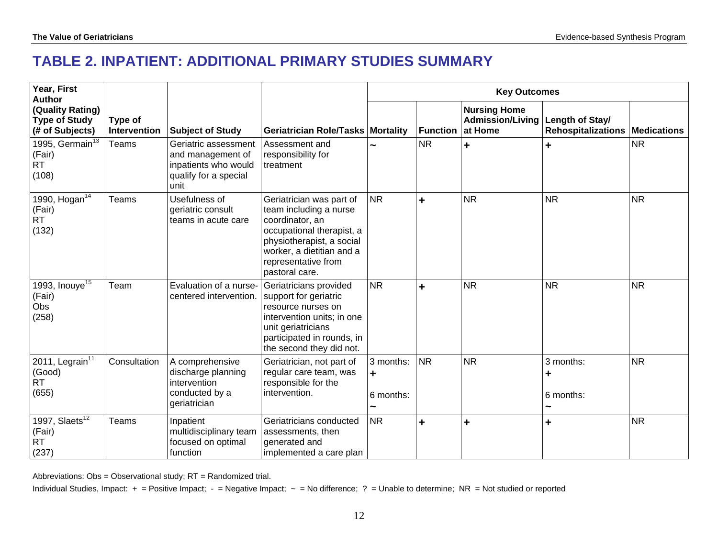## **TABLE 2. INPATIENT: ADDITIONAL PRIMARY STUDIES SUMMARY**

| Year, First<br><b>Author</b>                                  |                         |                                                                                                    |                                                                                                                                                                                                       | <b>Key Outcomes</b>          |                 |                                                           |                                              |                    |  |
|---------------------------------------------------------------|-------------------------|----------------------------------------------------------------------------------------------------|-------------------------------------------------------------------------------------------------------------------------------------------------------------------------------------------------------|------------------------------|-----------------|-----------------------------------------------------------|----------------------------------------------|--------------------|--|
| (Quality Rating)<br><b>Type of Study</b><br>(# of Subjects)   | Type of<br>Intervention | <b>Subject of Study</b>                                                                            | Geriatrician Role/Tasks   Mortality                                                                                                                                                                   |                              | <b>Function</b> | <b>Nursing Home</b><br><b>Admission/Living</b><br>at Home | Length of Stay/<br><b>Rehospitalizations</b> | <b>Medications</b> |  |
| 1995, Germain $1\overline{3}$<br>(Fair)<br><b>RT</b><br>(108) | Teams                   | Geriatric assessment<br>and management of<br>inpatients who would<br>qualify for a special<br>unit | Assessment and<br>responsibility for<br>treatment                                                                                                                                                     |                              | <b>NR</b>       | $\ddot{\phantom{1}}$                                      | $\ddot{\phantom{1}}$                         | <b>NR</b>          |  |
| 1990, $Hogan^{14}$<br>(Fair)<br><b>RT</b><br>(132)            | Teams                   | Usefulness of<br>geriatric consult<br>teams in acute care                                          | Geriatrician was part of<br>team including a nurse<br>coordinator, an<br>occupational therapist, a<br>physiotherapist, a social<br>worker, a dietitian and a<br>representative from<br>pastoral care. | <b>NR</b>                    | ÷               | <b>NR</b>                                                 | <b>NR</b>                                    | <b>NR</b>          |  |
| 1993, Inouye <sup>15</sup><br>(Fair)<br>Obs<br>(258)          | Team                    | Evaluation of a nurse-<br>centered intervention.                                                   | Geriatricians provided<br>support for geriatric<br>resource nurses on<br>intervention units; in one<br>unit geriatricians<br>participated in rounds, in<br>the second they did not.                   | <b>NR</b>                    | ÷               | <b>NR</b>                                                 | <b>NR</b>                                    | <b>NR</b>          |  |
| 2011, Legrain $\overline{11}$<br>(Good)<br><b>RT</b><br>(655) | Consultation            | A comprehensive<br>discharge planning<br>intervention<br>conducted by a<br>geriatrician            | Geriatrician, not part of<br>regular care team, was<br>responsible for the<br>intervention.                                                                                                           | 3 months:<br>٠.<br>6 months: | <b>NR</b>       | <b>NR</b>                                                 | 3 months:<br>٠<br>6 months:                  | <b>NR</b>          |  |
| 1997, Slaets $\sqrt{12}$<br>(Fair)<br><b>RT</b><br>(237)      | <b>Teams</b>            | Inpatient<br>multidisciplinary team<br>focused on optimal<br>function                              | Geriatricians conducted<br>assessments, then<br>generated and<br>implemented a care plan                                                                                                              | <b>NR</b>                    | ÷               | $\ddagger$                                                | $\ddot{}$                                    | <b>NR</b>          |  |

Abbreviations: Obs = Observational study; RT = Randomized trial.

Individual Studies, Impact: + = Positive Impact; - = Negative Impact; ~ = No difference; ? = Unable to determine; NR = Not studied or reported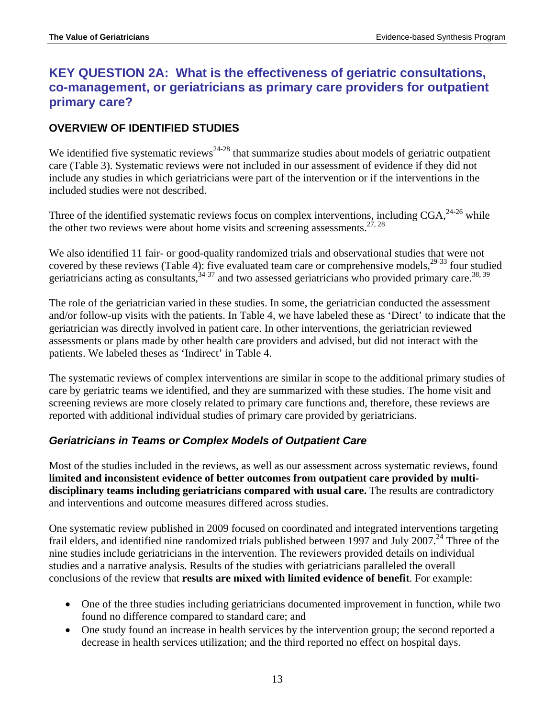#### **KEY QUESTION 2A: What is the effectiveness of geriatric consultations, co-management, or geriatricians as primary care providers for outpatient primary care?**

#### **OVERVIEW OF IDENTIFIED STUDIES**

We identified five systematic reviews<sup>24-28</sup> that summarize studies about models of geriatric outpatient care (Table 3). Systematic reviews were not included in our assessment of evidence if they did not include any studies in which geriatricians were part of the intervention or if the interventions in the included studies were not described.

Three of the identified systematic reviews focus on complex interventions, including  $CGA$ ,  $24-26$  while the other two reviews were about home visits and screening assessments.<sup>27, 28</sup>

We also identified 11 fair- or good-quality randomized trials and observational studies that were not covered by these reviews (Table 4): five evaluated team care or comprehensive models,  $29-33$  four studied geriatricians acting as consultants,  $34-37$  and two assessed geriatricians who provided primary care.  $38,39$ 

The role of the geriatrician varied in these studies. In some, the geriatrician conducted the assessment and/or follow-up visits with the patients. In Table 4, we have labeled these as 'Direct' to indicate that the geriatrician was directly involved in patient care. In other interventions, the geriatrician reviewed assessments or plans made by other health care providers and advised, but did not interact with the patients. We labeled theses as 'Indirect' in Table 4.

The systematic reviews of complex interventions are similar in scope to the additional primary studies of care by geriatric teams we identified, and they are summarized with these studies. The home visit and screening reviews are more closely related to primary care functions and, therefore, these reviews are reported with additional individual studies of primary care provided by geriatricians.

#### *Geriatricians in Teams or Complex Models of Outpatient Care*

Most of the studies included in the reviews, as well as our assessment across systematic reviews, found **limited and inconsistent evidence of better outcomes from outpatient care provided by multidisciplinary teams including geriatricians compared with usual care.** The results are contradictory and interventions and outcome measures differed across studies.

One systematic review published in 2009 focused on coordinated and integrated interventions targeting frail elders, and identified nine randomized trials published between 1997 and July 2007.<sup>24</sup> Three of the nine studies include geriatricians in the intervention. The reviewers provided details on individual studies and a narrative analysis. Results of the studies with geriatricians paralleled the overall conclusions of the review that **results are mixed with limited evidence of benefit**. For example:

- One of the three studies including geriatricians documented improvement in function, while two found no difference compared to standard care; and
- One study found an increase in health services by the intervention group; the second reported a decrease in health services utilization; and the third reported no effect on hospital days.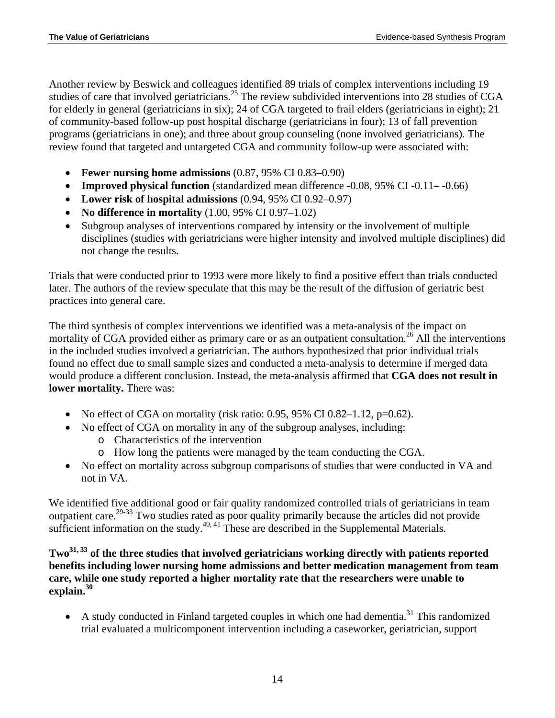Another review by Beswick and colleagues identified 89 trials of complex interventions including 19 studies of care that involved geriatricians.<sup>25</sup> The review subdivided interventions into 28 studies of CGA for elderly in general (geriatricians in six); 24 of CGA targeted to frail elders (geriatricians in eight); 21 of community-based follow-up post hospital discharge (geriatricians in four); 13 of fall prevention programs (geriatricians in one); and three about group counseling (none involved geriatricians). The review found that targeted and untargeted CGA and community follow-up were associated with:

- **Fewer nursing home admissions** (0.87, 95% CI 0.83–0.90)
- **Improved physical function** (standardized mean difference -0.08, 95% CI -0.11– -0.66)
- **Lower risk of hospital admissions** (0.94, 95% CI 0.92–0.97)
- **No difference in mortality** (1.00, 95% CI 0.97–1.02)
- Subgroup analyses of interventions compared by intensity or the involvement of multiple disciplines (studies with geriatricians were higher intensity and involved multiple disciplines) did not change the results.

Trials that were conducted prior to 1993 were more likely to find a positive effect than trials conducted later. The authors of the review speculate that this may be the result of the diffusion of geriatric best practices into general care.

The third synthesis of complex interventions we identified was a meta-analysis of the impact on mortality of CGA provided either as primary care or as an outpatient consultation.<sup>26</sup> All the interventions in the included studies involved a geriatrician. The authors hypothesized that prior individual trials found no effect due to small sample sizes and conducted a meta-analysis to determine if merged data would produce a different conclusion. Instead, the meta-analysis affirmed that **CGA does not result in lower mortality.** There was:

- No effect of CGA on mortality (risk ratio:  $0.95$ ,  $95\%$  CI  $0.82-1.12$ ,  $p=0.62$ ).
- No effect of CGA on mortality in any of the subgroup analyses, including:
	- o Characteristics of the intervention
	- o How long the patients were managed by the team conducting the CGA.
- No effect on mortality across subgroup comparisons of studies that were conducted in VA and not in VA.

We identified five additional good or fair quality randomized controlled trials of geriatricians in team outpatient care.29-33 Two studies rated as poor quality primarily because the articles did not provide sufficient information on the study. $40,41$  These are described in the Supplemental Materials.

**Two31, 33 of the three studies that involved geriatricians working directly with patients reported benefits including lower nursing home admissions and better medication management from team care, while one study reported a higher mortality rate that the researchers were unable to explain.<sup>30</sup>**

• A study conducted in Finland targeted couples in which one had dementia.<sup>31</sup> This randomized trial evaluated a multicomponent intervention including a caseworker, geriatrician, support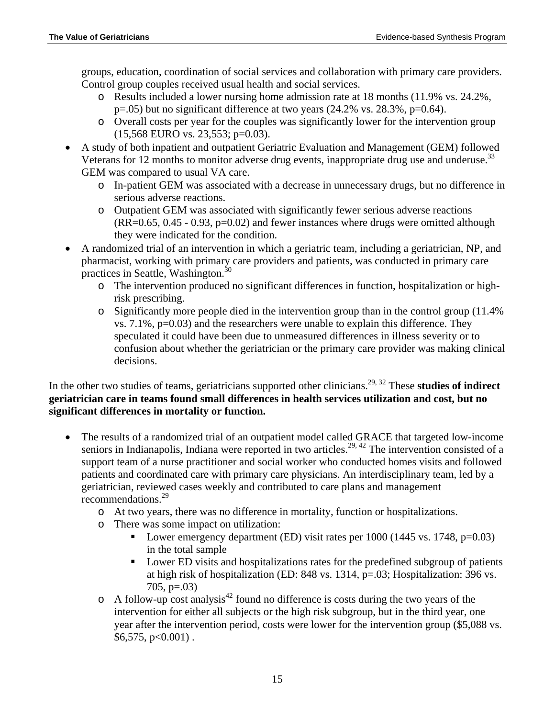groups, education, coordination of social services and collaboration with primary care providers. Control group couples received usual health and social services.

- o Results included a lower nursing home admission rate at 18 months (11.9% vs. 24.2%,  $p=.05$ ) but no significant difference at two years (24.2% vs. 28.3%,  $p=0.64$ ).
- o Overall costs per year for the couples was significantly lower for the intervention group (15,568 EURO vs. 23,553; p=0.03).
- A study of both inpatient and outpatient Geriatric Evaluation and Management (GEM) followed Veterans for 12 months to monitor adverse drug events, inappropriate drug use and underuse.<sup>33</sup> GEM was compared to usual VA care.
	- o In-patient GEM was associated with a decrease in unnecessary drugs, but no difference in serious adverse reactions.
	- o Outpatient GEM was associated with significantly fewer serious adverse reactions  $(RR=0.65, 0.45 - 0.93, p=0.02)$  and fewer instances where drugs were omitted although they were indicated for the condition.
- A randomized trial of an intervention in which a geriatric team, including a geriatrician, NP, and pharmacist, working with primary care providers and patients, was conducted in primary care practices in Seattle, Washington.<sup>30</sup>
	- o The intervention produced no significant differences in function, hospitalization or highrisk prescribing.
	- o Significantly more people died in the intervention group than in the control group (11.4% vs. 7.1%, p=0.03) and the researchers were unable to explain this difference. They speculated it could have been due to unmeasured differences in illness severity or to confusion about whether the geriatrician or the primary care provider was making clinical decisions.

In the other two studies of teams, geriatricians supported other clinicians.<sup>29, 32</sup> These **studies of indirect geriatrician care in teams found small differences in health services utilization and cost, but no significant differences in mortality or function.** 

- The results of a randomized trial of an outpatient model called GRACE that targeted low-income seniors in Indianapolis, Indiana were reported in two articles.<sup>29, 42</sup> The intervention consisted of a support team of a nurse practitioner and social worker who conducted homes visits and followed patients and coordinated care with primary care physicians. An interdisciplinary team, led by a geriatrician, reviewed cases weekly and contributed to care plans and management recommendations.29
	- o At two years, there was no difference in mortality, function or hospitalizations.
	- o There was some impact on utilization:
		- Lower emergency department (ED) visit rates per  $1000$  (1445 vs. 1748, p=0.03) in the total sample
		- Lower ED visits and hospitalizations rates for the predefined subgroup of patients at high risk of hospitalization (ED: 848 vs. 1314, p=.03; Hospitalization: 396 vs.  $705, p=.03$
	- $\circ$  A follow-up cost analysis<sup>42</sup> found no difference is costs during the two years of the intervention for either all subjects or the high risk subgroup, but in the third year, one year after the intervention period, costs were lower for the intervention group (\$5,088 vs.  $$6,575, p<0.001$ .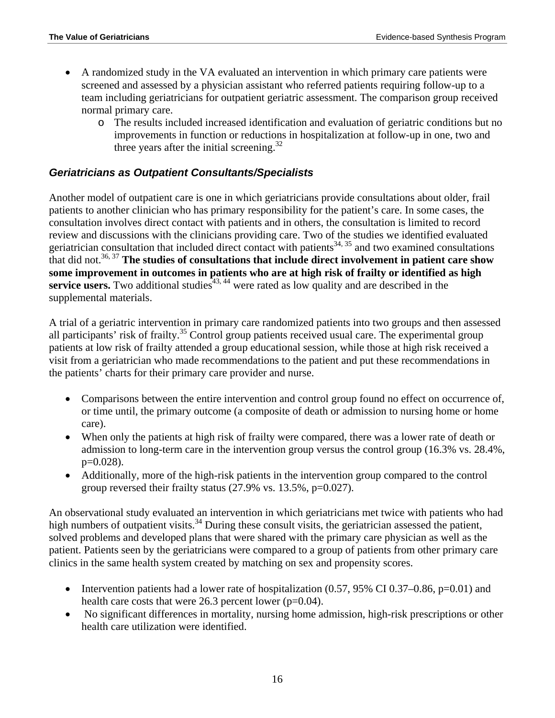- A randomized study in the VA evaluated an intervention in which primary care patients were screened and assessed by a physician assistant who referred patients requiring follow-up to a team including geriatricians for outpatient geriatric assessment. The comparison group received normal primary care.
	- o The results included increased identification and evaluation of geriatric conditions but no improvements in function or reductions in hospitalization at follow-up in one, two and three years after the initial screening.<sup>32</sup>

#### *Geriatricians as Outpatient Consultants/Specialists*

Another model of outpatient care is one in which geriatricians provide consultations about older, frail patients to another clinician who has primary responsibility for the patient's care. In some cases, the consultation involves direct contact with patients and in others, the consultation is limited to record review and discussions with the clinicians providing care. Two of the studies we identified evaluated geriatrician consultation that included direct contact with patients<sup>34, 35</sup> and two examined consultations that did not.36, 37 **The studies of consultations that include direct involvement in patient care show some improvement in outcomes in patients who are at high risk of frailty or identified as high service users.** Two additional studies<sup> $43, 44$ </sup> were rated as low quality and are described in the supplemental materials.

A trial of a geriatric intervention in primary care randomized patients into two groups and then assessed all participants' risk of frailty.<sup>35</sup> Control group patients received usual care. The experimental group patients at low risk of frailty attended a group educational session, while those at high risk received a visit from a geriatrician who made recommendations to the patient and put these recommendations in the patients' charts for their primary care provider and nurse.

- Comparisons between the entire intervention and control group found no effect on occurrence of, or time until, the primary outcome (a composite of death or admission to nursing home or home care).
- When only the patients at high risk of frailty were compared, there was a lower rate of death or admission to long-term care in the intervention group versus the control group (16.3% vs. 28.4%,  $p=0.028$ ).
- Additionally, more of the high-risk patients in the intervention group compared to the control group reversed their frailty status  $(27.9\% \text{ vs. } 13.5\%, \text{ p=0.027}).$

An observational study evaluated an intervention in which geriatricians met twice with patients who had high numbers of outpatient visits.<sup>34</sup> During these consult visits, the geriatrician assessed the patient, solved problems and developed plans that were shared with the primary care physician as well as the patient. Patients seen by the geriatricians were compared to a group of patients from other primary care clinics in the same health system created by matching on sex and propensity scores.

- Intervention patients had a lower rate of hospitalization  $(0.57, 95\% \text{ CI } 0.37{\text{-}}0.86, \text{p=0.01})$  and health care costs that were 26.3 percent lower (p=0.04).
- No significant differences in mortality, nursing home admission, high-risk prescriptions or other health care utilization were identified.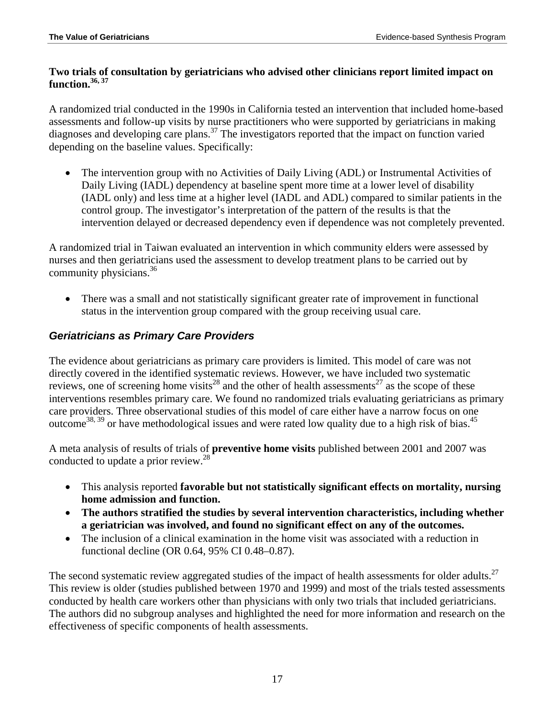#### **Two trials of consultation by geriatricians who advised other clinicians report limited impact on function.36, 37**

A randomized trial conducted in the 1990s in California tested an intervention that included home-based assessments and follow-up visits by nurse practitioners who were supported by geriatricians in making diagnoses and developing care plans.37 The investigators reported that the impact on function varied depending on the baseline values. Specifically:

• The intervention group with no Activities of Daily Living (ADL) or Instrumental Activities of Daily Living (IADL) dependency at baseline spent more time at a lower level of disability (IADL only) and less time at a higher level (IADL and ADL) compared to similar patients in the control group. The investigator's interpretation of the pattern of the results is that the intervention delayed or decreased dependency even if dependence was not completely prevented.

A randomized trial in Taiwan evaluated an intervention in which community elders were assessed by nurses and then geriatricians used the assessment to develop treatment plans to be carried out by community physicians.<sup>36</sup>

• There was a small and not statistically significant greater rate of improvement in functional status in the intervention group compared with the group receiving usual care.

#### *Geriatricians as Primary Care Providers*

The evidence about geriatricians as primary care providers is limited. This model of care was not directly covered in the identified systematic reviews. However, we have included two systematic reviews, one of screening home visits<sup>28</sup> and the other of health assessments<sup>27</sup> as the scope of these interventions resembles primary care. We found no randomized trials evaluating geriatricians as primary care providers. Three observational studies of this model of care either have a narrow focus on one outcome<sup>38, 39</sup> or have methodological issues and were rated low quality due to a high risk of bias.<sup>45</sup>

A meta analysis of results of trials of **preventive home visits** published between 2001 and 2007 was conducted to update a prior review.<sup>28</sup>

- This analysis reported **favorable but not statistically significant effects on mortality, nursing home admission and function.**
- **The authors stratified the studies by several intervention characteristics, including whether a geriatrician was involved, and found no significant effect on any of the outcomes.**
- The inclusion of a clinical examination in the home visit was associated with a reduction in functional decline (OR 0.64, 95% CI 0.48–0.87).

The second systematic review aggregated studies of the impact of health assessments for older adults.<sup>27</sup> This review is older (studies published between 1970 and 1999) and most of the trials tested assessments conducted by health care workers other than physicians with only two trials that included geriatricians. The authors did no subgroup analyses and highlighted the need for more information and research on the effectiveness of specific components of health assessments.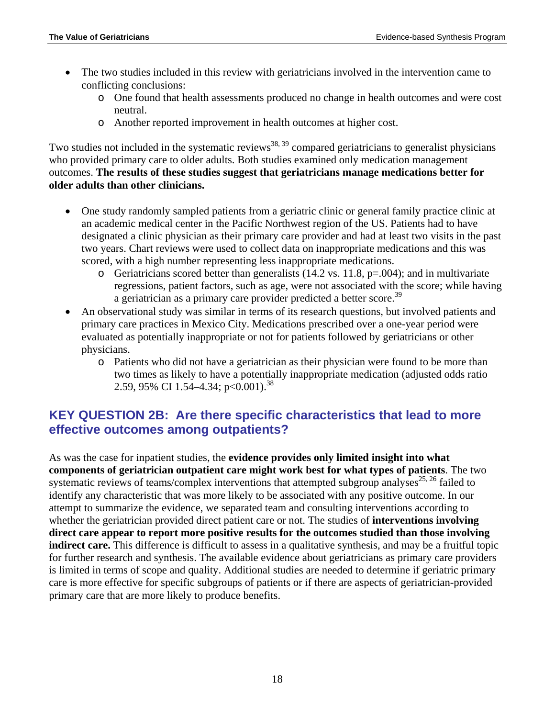- The two studies included in this review with geriatricians involved in the intervention came to conflicting conclusions:
	- o One found that health assessments produced no change in health outcomes and were cost neutral.
	- o Another reported improvement in health outcomes at higher cost.

Two studies not included in the systematic reviews<sup>38, 39</sup> compared geriatricians to generalist physicians who provided primary care to older adults. Both studies examined only medication management outcomes. **The results of these studies suggest that geriatricians manage medications better for older adults than other clinicians.**

- One study randomly sampled patients from a geriatric clinic or general family practice clinic at an academic medical center in the Pacific Northwest region of the US. Patients had to have designated a clinic physician as their primary care provider and had at least two visits in the past two years. Chart reviews were used to collect data on inappropriate medications and this was scored, with a high number representing less inappropriate medications.
	- $\circ$  Geriatricians scored better than generalists (14.2 vs. 11.8, p=.004); and in multivariate regressions, patient factors, such as age, were not associated with the score; while having a geriatrician as a primary care provider predicted a better score.<sup>39</sup>
- An observational study was similar in terms of its research questions, but involved patients and primary care practices in Mexico City. Medications prescribed over a one-year period were evaluated as potentially inappropriate or not for patients followed by geriatricians or other physicians.
	- o Patients who did not have a geriatrician as their physician were found to be more than two times as likely to have a potentially inappropriate medication (adjusted odds ratio 2.59, 95% CI 1.54–4.34;  $p<0.001$ ).<sup>38</sup>

#### **KEY QUESTION 2B: Are there specific characteristics that lead to more effective outcomes among outpatients?**

As was the case for inpatient studies, the **evidence provides only limited insight into what components of geriatrician outpatient care might work best for what types of patients**. The two systematic reviews of teams/complex interventions that attempted subgroup analyses<sup>25, 26</sup> failed to identify any characteristic that was more likely to be associated with any positive outcome. In our attempt to summarize the evidence, we separated team and consulting interventions according to whether the geriatrician provided direct patient care or not. The studies of **interventions involving direct care appear to report more positive results for the outcomes studied than those involving indirect care.** This difference is difficult to assess in a qualitative synthesis, and may be a fruitful topic for further research and synthesis. The available evidence about geriatricians as primary care providers is limited in terms of scope and quality. Additional studies are needed to determine if geriatric primary care is more effective for specific subgroups of patients or if there are aspects of geriatrician-provided primary care that are more likely to produce benefits.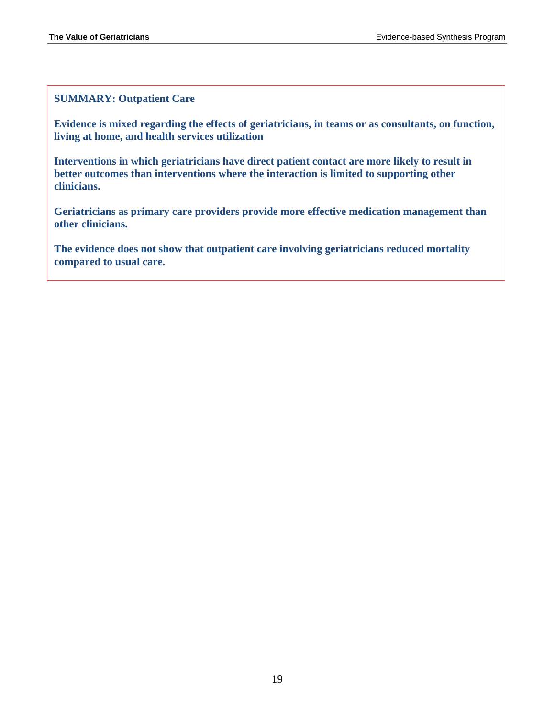#### **SUMMARY: Outpatient Care**

**Evidence is mixed regarding the effects of geriatricians, in teams or as consultants, on function, living at home, and health services utilization** 

**Interventions in which geriatricians have direct patient contact are more likely to result in better outcomes than interventions where the interaction is limited to supporting other clinicians.** 

**Geriatricians as primary care providers provide more effective medication management than other clinicians.** 

**The evidence does not show that outpatient care involving geriatricians reduced mortality compared to usual care.**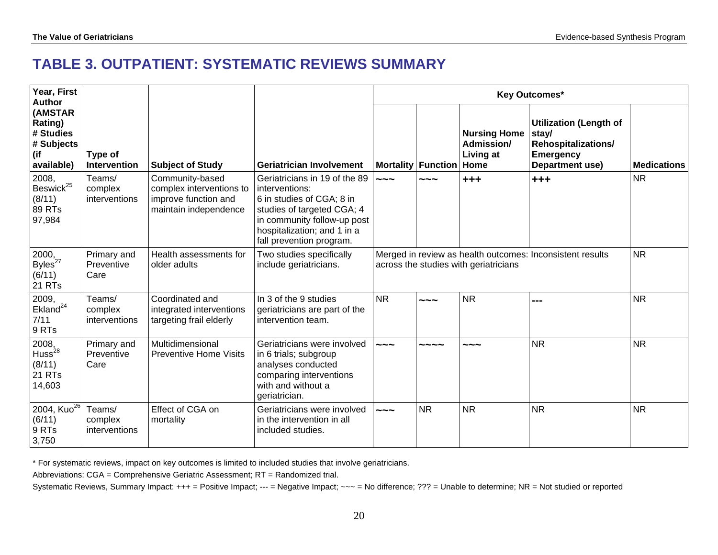## **TABLE 3. OUTPATIENT: SYSTEMATIC REVIEWS SUMMARY**

| Year, First<br><b>Author</b>                                              |                                    |                                                                                              |                                                                                                                                                                                                      | <b>Key Outcomes*</b> |                           |                                                        |                                                                                                             |                    |  |  |
|---------------------------------------------------------------------------|------------------------------------|----------------------------------------------------------------------------------------------|------------------------------------------------------------------------------------------------------------------------------------------------------------------------------------------------------|----------------------|---------------------------|--------------------------------------------------------|-------------------------------------------------------------------------------------------------------------|--------------------|--|--|
| (AMSTAR<br><b>Rating)</b><br># Studies<br># Subjects<br>(if<br>available) | Type of<br>Intervention            | <b>Subject of Study</b>                                                                      | <b>Geriatrician Involvement</b>                                                                                                                                                                      |                      | <b>Mortality Function</b> | <b>Nursing Home</b><br>Admission/<br>Living at<br>Home | <b>Utilization (Length of</b><br>stay/<br><b>Rehospitalizations/</b><br><b>Emergency</b><br>Department use) | <b>Medications</b> |  |  |
| 2008,<br>Beswick <sup>25</sup><br>(8/11)<br><b>89 RTs</b><br>97,984       | Teams/<br>complex<br>interventions | Community-based<br>complex interventions to<br>improve function and<br>maintain independence | Geriatricians in 19 of the 89<br>interventions:<br>6 in studies of CGA; 8 in<br>studies of targeted CGA; 4<br>in community follow-up post<br>hospitalization; and 1 in a<br>fall prevention program. | $\sim\sim\sim$       | $\sim\sim\sim$            | $+ + +$                                                | $+ + +$                                                                                                     | <b>NR</b>          |  |  |
| 2000,<br>Byles <sup>27</sup><br>(6/11)<br><b>21 RTs</b>                   | Primary and<br>Preventive<br>Care  | Health assessments for<br>older adults                                                       | Two studies specifically<br>include geriatricians.                                                                                                                                                   |                      |                           | across the studies with geriatricians                  | Merged in review as health outcomes: Inconsistent results                                                   | <b>NR</b>          |  |  |
| 2009,<br>Ekland <sup>24</sup><br>7/11<br>9RTs                             | Teams/<br>complex<br>interventions | Coordinated and<br>integrated interventions<br>targeting frail elderly                       | In 3 of the 9 studies<br>geriatricians are part of the<br>intervention team.                                                                                                                         | <b>NR</b>            | $\sim\sim\sim$            | <b>NR</b>                                              | ---                                                                                                         | <b>NR</b>          |  |  |
| $2008,$ Huss <sup>28</sup><br>(8/11)<br><b>21 RTs</b><br>14,603           | Primary and<br>Preventive<br>Care  | Multidimensional<br><b>Preventive Home Visits</b>                                            | Geriatricians were involved<br>in 6 trials; subgroup<br>analyses conducted<br>comparing interventions<br>with and without a<br>geriatrician.                                                         | $\sim\, \sim$        |                           | $\sim\, \sim$                                          | <b>NR</b>                                                                                                   | <b>NR</b>          |  |  |
| 2004, Kuo <sup>26</sup><br>(6/11)<br>9 RTs<br>3,750                       | Teams/<br>complex<br>interventions | Effect of CGA on<br>mortality                                                                | Geriatricians were involved<br>in the intervention in all<br>included studies.                                                                                                                       | $\sim\, \sim$        | <b>NR</b>                 | <b>NR</b>                                              | <b>NR</b>                                                                                                   | <b>NR</b>          |  |  |

\* For systematic reviews, impact on key outcomes is limited to included studies that involve geriatricians.

Abbreviations: CGA = Comprehensive Geriatric Assessment; RT = Randomized trial.

Systematic Reviews, Summary Impact: +++ = Positive Impact; --- = Negative Impact; --~ = No difference; ??? = Unable to determine; NR = Not studied or reported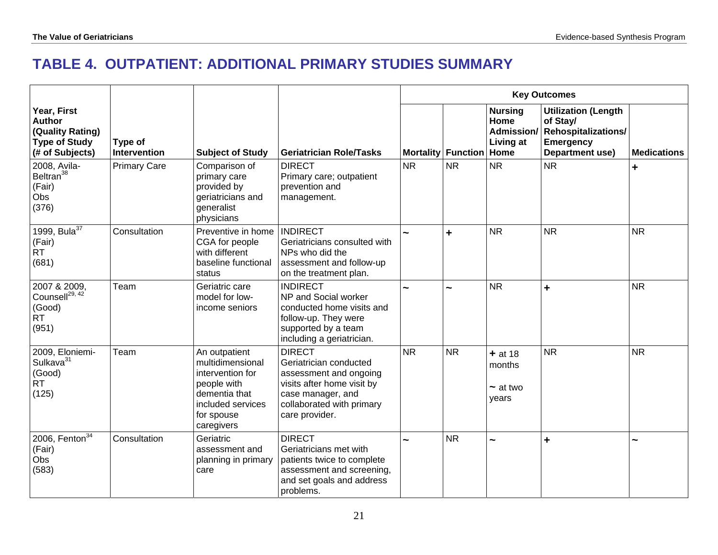## **TABLE 4. OUTPATIENT: ADDITIONAL PRIMARY STUDIES SUMMARY**

|                                                                                      |                         |                                                                                                                                        |                                                                                                                                                                     | <b>Key Outcomes</b> |                                |                                                   |                                                                                                             |                    |
|--------------------------------------------------------------------------------------|-------------------------|----------------------------------------------------------------------------------------------------------------------------------------|---------------------------------------------------------------------------------------------------------------------------------------------------------------------|---------------------|--------------------------------|---------------------------------------------------|-------------------------------------------------------------------------------------------------------------|--------------------|
| Year, First<br>Author<br>(Quality Rating)<br><b>Type of Study</b><br>(# of Subjects) | Type of<br>Intervention | <b>Subject of Study</b>                                                                                                                | <b>Geriatrician Role/Tasks</b>                                                                                                                                      |                     | <b>Mortality Function Home</b> | <b>Nursing</b><br>Home<br>Admission/<br>Living at | <b>Utilization (Length</b><br>of Stay/<br><b>Rehospitalizations/</b><br><b>Emergency</b><br>Department use) | <b>Medications</b> |
| 2008, Avila-<br>Beltran <sup>38</sup><br>(Fair)<br>Obs<br>(376)                      | <b>Primary Care</b>     | Comparison of<br>primary care<br>provided by<br>geriatricians and<br>generalist<br>physicians                                          | <b>DIRECT</b><br>Primary care; outpatient<br>prevention and<br>management.                                                                                          | <b>NR</b>           | <b>NR</b>                      | <b>NR</b>                                         | <b>NR</b>                                                                                                   | $\ddot{}$          |
| 1999, Bula <sup>37</sup><br>(Fair)<br>RT<br>(681)                                    | Consultation            | Preventive in home<br>CGA for people<br>with different<br>baseline functional<br>status                                                | <b>INDIRECT</b><br>Geriatricians consulted with<br>NPs who did the<br>assessment and follow-up<br>on the treatment plan.                                            | w                   | $\ddot{\phantom{1}}$           | <b>NR</b>                                         | <b>NR</b>                                                                                                   | <b>NR</b>          |
| 2007 & 2009,<br>Counsell <sup>29, 42</sup><br>(Good)<br><b>RT</b><br>(951)           | Team                    | Geriatric care<br>model for low-<br>income seniors                                                                                     | <b>INDIRECT</b><br>NP and Social worker<br>conducted home visits and<br>follow-up. They were<br>supported by a team<br>including a geriatrician.                    | w                   | $\rightarrow$                  | <b>NR</b>                                         | $\ddot{}$                                                                                                   | <b>NR</b>          |
| 2009, Eloniemi-<br>Sulkava <sup>31</sup><br>(Good)<br><b>RT</b><br>(125)             | Team                    | An outpatient<br>multidimensional<br>intervention for<br>people with<br>dementia that<br>included services<br>for spouse<br>caregivers | <b>DIRECT</b><br>Geriatrician conducted<br>assessment and ongoing<br>visits after home visit by<br>case manager, and<br>collaborated with primary<br>care provider. | <b>NR</b>           | <b>NR</b>                      | $+$ at 18<br>months<br>$\sim$ at two<br>years     | <b>NR</b>                                                                                                   | <b>NR</b>          |
| 2006, Fenton $34$<br>(Fair)<br>Obs<br>(583)                                          | Consultation            | Geriatric<br>assessment and<br>planning in primary<br>care                                                                             | <b>DIRECT</b><br>Geriatricians met with<br>patients twice to complete<br>assessment and screening,<br>and set goals and address<br>problems.                        |                     | <b>NR</b>                      | $\tilde{\phantom{a}}$                             | $\ddot{}$                                                                                                   | $\sim$             |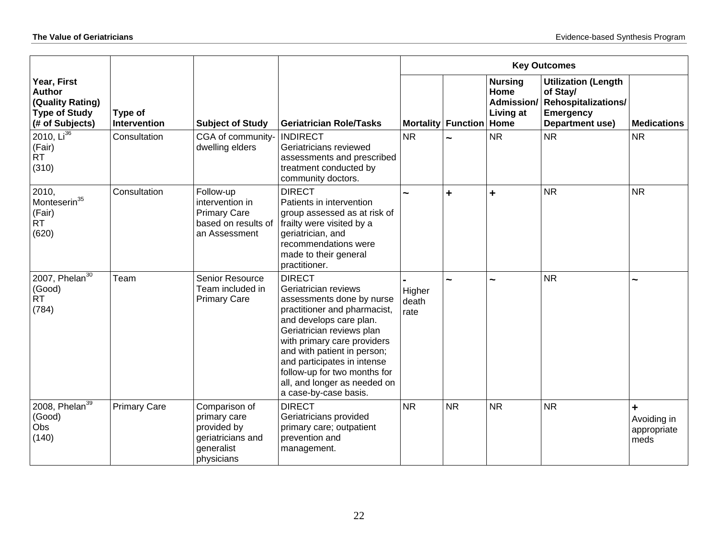|                                                                                             |                         |                                                                                               |                                                                                                                                                                                                                                                                                                                                                  | <b>Key Outcomes</b>     |                             |                                                          |                                                                                                             |                                          |  |
|---------------------------------------------------------------------------------------------|-------------------------|-----------------------------------------------------------------------------------------------|--------------------------------------------------------------------------------------------------------------------------------------------------------------------------------------------------------------------------------------------------------------------------------------------------------------------------------------------------|-------------------------|-----------------------------|----------------------------------------------------------|-------------------------------------------------------------------------------------------------------------|------------------------------------------|--|
| Year, First<br><b>Author</b><br>(Quality Rating)<br><b>Type of Study</b><br>(# of Subjects) | Type of<br>Intervention | <b>Subject of Study</b>                                                                       | <b>Geriatrician Role/Tasks</b>                                                                                                                                                                                                                                                                                                                   |                         | Mortality   Function   Home | <b>Nursing</b><br>Home<br>Admission/<br><b>Living at</b> | <b>Utilization (Length</b><br>of Stay/<br><b>Rehospitalizations/</b><br><b>Emergency</b><br>Department use) | <b>Medications</b>                       |  |
| $2010, Li^{36}$<br>(Fair)<br><b>RT</b><br>(310)                                             | Consultation            | CGA of community-<br>dwelling elders                                                          | <b>INDIRECT</b><br>Geriatricians reviewed<br>assessments and prescribed<br>treatment conducted by<br>community doctors.                                                                                                                                                                                                                          | <b>NR</b>               |                             | <b>NR</b>                                                | <b>NR</b>                                                                                                   | <b>NR</b>                                |  |
| 2010,<br>Monteserin <sup>35</sup><br>(Fair)<br><b>RT</b><br>(620)                           | Consultation            | Follow-up<br>intervention in<br><b>Primary Care</b><br>based on results of<br>an Assessment   | <b>DIRECT</b><br>Patients in intervention<br>group assessed as at risk of<br>frailty were visited by a<br>geriatrician, and<br>recommendations were<br>made to their general<br>practitioner.                                                                                                                                                    |                         | ÷                           | ÷                                                        | <b>NR</b>                                                                                                   | <b>NR</b>                                |  |
| 2007, Phelan $30$<br>(Good)<br><b>RT</b><br>(784)                                           | Team                    | <b>Senior Resource</b><br>Team included in<br><b>Primary Care</b>                             | <b>DIRECT</b><br>Geriatrician reviews<br>assessments done by nurse<br>practitioner and pharmacist,<br>and develops care plan.<br>Geriatrician reviews plan<br>with primary care providers<br>and with patient in person;<br>and participates in intense<br>follow-up for two months for<br>all, and longer as needed on<br>a case-by-case basis. | Higher<br>death<br>rate | $\rightarrow$               | $\overline{ }$                                           | <b>NR</b>                                                                                                   | ė.                                       |  |
| 2008, Phelan <sup>39</sup><br>(Good)<br>Obs<br>(140)                                        | <b>Primary Care</b>     | Comparison of<br>primary care<br>provided by<br>geriatricians and<br>generalist<br>physicians | <b>DIRECT</b><br>Geriatricians provided<br>primary care; outpatient<br>prevention and<br>management.                                                                                                                                                                                                                                             | <b>NR</b>               | <b>NR</b>                   | <b>NR</b>                                                | <b>NR</b>                                                                                                   | Ŧ.<br>Avoiding in<br>appropriate<br>meds |  |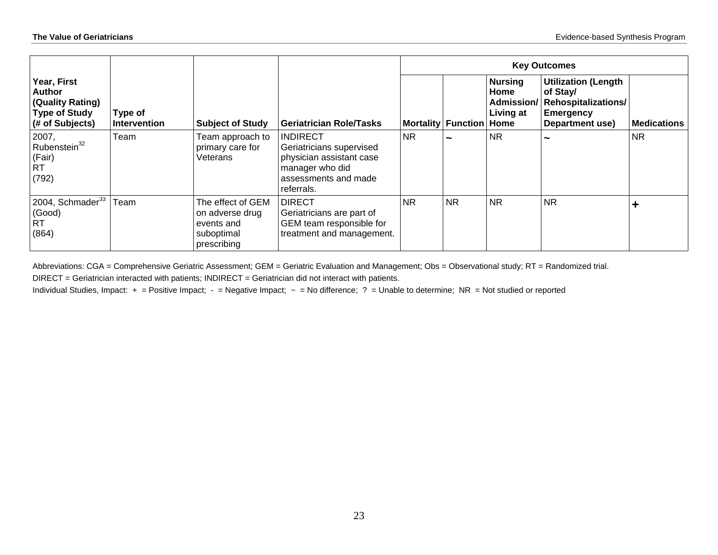|                                                                                             |                         |                                                                                 |                                                                                                                                  |           |                             | <b>Key Outcomes</b>                               |                                                                                                      |                    |  |  |  |
|---------------------------------------------------------------------------------------------|-------------------------|---------------------------------------------------------------------------------|----------------------------------------------------------------------------------------------------------------------------------|-----------|-----------------------------|---------------------------------------------------|------------------------------------------------------------------------------------------------------|--------------------|--|--|--|
| Year, First<br><b>Author</b><br>(Quality Rating)<br><b>Type of Study</b><br>(# of Subjects) | Type of<br>Intervention | <b>Subject of Study</b>                                                         | <b>Geriatrician Role/Tasks</b>                                                                                                   |           | Mortality   Function   Home | <b>Nursing</b><br>Home<br>Admission/<br>Living at | <b>Utilization (Length</b><br>of Stay/<br><b>Rehospitalizations/</b><br>Emergency<br>Department use) | <b>Medications</b> |  |  |  |
| 2007,<br>Rubenstein <sup>32</sup><br>(Fair)<br>RT<br>(792)                                  | Team                    | Team approach to<br>primary care for<br>Veterans                                | <b>INDIRECT</b><br>Geriatricians supervised<br>physician assistant case<br>manager who did<br>assessments and made<br>referrals. | <b>NR</b> | ∼                           | <b>NR</b>                                         | $\tilde{\phantom{a}}$                                                                                | <b>NR</b>          |  |  |  |
| 2004, Schmader <sup>33</sup><br>(Good)<br>RT<br>(864)                                       | Team                    | The effect of GEM<br>on adverse drug<br>events and<br>suboptimal<br>prescribing | <b>DIRECT</b><br>Geriatricians are part of<br>GEM team responsible for<br>treatment and management.                              | <b>NR</b> | <b>NR</b>                   | <b>NR</b>                                         | <b>NR</b>                                                                                            |                    |  |  |  |

Abbreviations: CGA = Comprehensive Geriatric Assessment; GEM = Geriatric Evaluation and Management; Obs = Observational study; RT = Randomized trial.

DIRECT = Geriatrician interacted with patients; INDIRECT = Geriatrician did not interact with patients.

Individual Studies, Impact:  $+$  = Positive Impact; - = Negative Impact;  $\sim$  = No difference; ? = Unable to determine; NR = Not studied or reported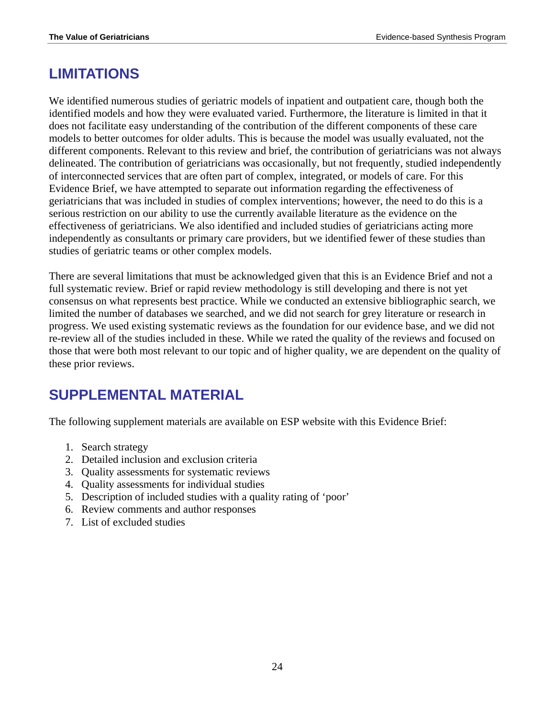## **LIMITATIONS**

We identified numerous studies of geriatric models of inpatient and outpatient care, though both the identified models and how they were evaluated varied. Furthermore, the literature is limited in that it does not facilitate easy understanding of the contribution of the different components of these care models to better outcomes for older adults. This is because the model was usually evaluated, not the different components. Relevant to this review and brief, the contribution of geriatricians was not always delineated. The contribution of geriatricians was occasionally, but not frequently, studied independently of interconnected services that are often part of complex, integrated, or models of care. For this Evidence Brief, we have attempted to separate out information regarding the effectiveness of geriatricians that was included in studies of complex interventions; however, the need to do this is a serious restriction on our ability to use the currently available literature as the evidence on the effectiveness of geriatricians. We also identified and included studies of geriatricians acting more independently as consultants or primary care providers, but we identified fewer of these studies than studies of geriatric teams or other complex models.

There are several limitations that must be acknowledged given that this is an Evidence Brief and not a full systematic review. Brief or rapid review methodology is still developing and there is not yet consensus on what represents best practice. While we conducted an extensive bibliographic search, we limited the number of databases we searched, and we did not search for grey literature or research in progress. We used existing systematic reviews as the foundation for our evidence base, and we did not re-review all of the studies included in these. While we rated the quality of the reviews and focused on those that were both most relevant to our topic and of higher quality, we are dependent on the quality of these prior reviews.

## **SUPPLEMENTAL MATERIAL**

The following supplement materials are available on ESP website with this Evidence Brief:

- 1. Search strategy
- 2. Detailed inclusion and exclusion criteria
- 3. Quality assessments for systematic reviews
- 4. Quality assessments for individual studies
- 5. Description of included studies with a quality rating of 'poor'
- 6. Review comments and author responses
- 7. List of excluded studies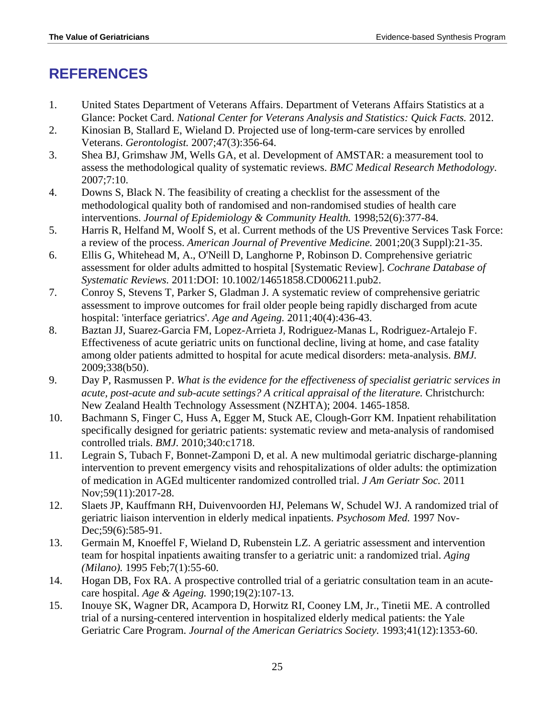## **REFERENCES**

- 1. United States Department of Veterans Affairs. Department of Veterans Affairs Statistics at a Glance: Pocket Card. *National Center for Veterans Analysis and Statistics: Quick Facts.* 2012.
- 2. Kinosian B, Stallard E, Wieland D. Projected use of long-term-care services by enrolled Veterans. *Gerontologist.* 2007;47(3):356-64.
- 3. Shea BJ, Grimshaw JM, Wells GA, et al. Development of AMSTAR: a measurement tool to assess the methodological quality of systematic reviews. *BMC Medical Research Methodology.*  2007;7:10.
- 4. Downs S, Black N. The feasibility of creating a checklist for the assessment of the methodological quality both of randomised and non-randomised studies of health care interventions. *Journal of Epidemiology & Community Health.* 1998;52(6):377-84.
- 5. Harris R, Helfand M, Woolf S, et al. Current methods of the US Preventive Services Task Force: a review of the process. *American Journal of Preventive Medicine.* 2001;20(3 Suppl):21-35.
- 6. Ellis G, Whitehead M, A., O'Neill D, Langhorne P, Robinson D. Comprehensive geriatric assessment for older adults admitted to hospital [Systematic Review]. *Cochrane Database of Systematic Reviews.* 2011:DOI: 10.1002/14651858.CD006211.pub2.
- 7. Conroy S, Stevens T, Parker S, Gladman J. A systematic review of comprehensive geriatric assessment to improve outcomes for frail older people being rapidly discharged from acute hospital: 'interface geriatrics'. *Age and Ageing.* 2011;40(4):436-43.
- 8. Baztan JJ, Suarez-Garcia FM, Lopez-Arrieta J, Rodriguez-Manas L, Rodriguez-Artalejo F. Effectiveness of acute geriatric units on functional decline, living at home, and case fatality among older patients admitted to hospital for acute medical disorders: meta-analysis. *BMJ.*  2009;338(b50).
- 9. Day P, Rasmussen P. *What is the evidence for the effectiveness of specialist geriatric services in acute, post-acute and sub-acute settings? A critical appraisal of the literature.* Christchurch: New Zealand Health Technology Assessment (NZHTA); 2004. 1465-1858.
- 10. Bachmann S, Finger C, Huss A, Egger M, Stuck AE, Clough-Gorr KM. Inpatient rehabilitation specifically designed for geriatric patients: systematic review and meta-analysis of randomised controlled trials. *BMJ.* 2010;340:c1718.
- 11. Legrain S, Tubach F, Bonnet-Zamponi D, et al. A new multimodal geriatric discharge-planning intervention to prevent emergency visits and rehospitalizations of older adults: the optimization of medication in AGEd multicenter randomized controlled trial. *J Am Geriatr Soc.* 2011 Nov;59(11):2017-28.
- 12. Slaets JP, Kauffmann RH, Duivenvoorden HJ, Pelemans W, Schudel WJ. A randomized trial of geriatric liaison intervention in elderly medical inpatients. *Psychosom Med.* 1997 Nov-Dec; 59(6): 585-91.
- 13. Germain M, Knoeffel F, Wieland D, Rubenstein LZ. A geriatric assessment and intervention team for hospital inpatients awaiting transfer to a geriatric unit: a randomized trial. *Aging (Milano).* 1995 Feb;7(1):55-60.
- 14. Hogan DB, Fox RA. A prospective controlled trial of a geriatric consultation team in an acutecare hospital. *Age & Ageing.* 1990;19(2):107-13.
- 15. Inouye SK, Wagner DR, Acampora D, Horwitz RI, Cooney LM, Jr., Tinetii ME. A controlled trial of a nursing-centered intervention in hospitalized elderly medical patients: the Yale Geriatric Care Program. *Journal of the American Geriatrics Society.* 1993;41(12):1353-60.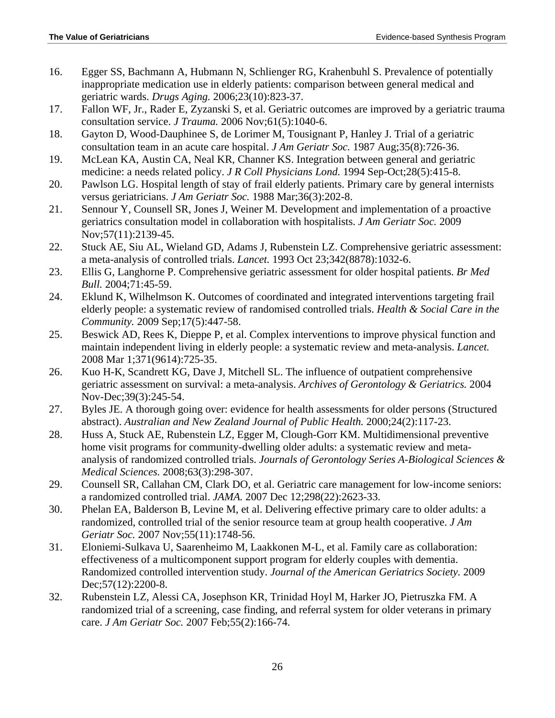- 16. Egger SS, Bachmann A, Hubmann N, Schlienger RG, Krahenbuhl S. Prevalence of potentially inappropriate medication use in elderly patients: comparison between general medical and geriatric wards. *Drugs Aging.* 2006;23(10):823-37.
- 17. Fallon WF, Jr., Rader E, Zyzanski S, et al. Geriatric outcomes are improved by a geriatric trauma consultation service. *J Trauma.* 2006 Nov;61(5):1040-6.
- 18. Gayton D, Wood-Dauphinee S, de Lorimer M, Tousignant P, Hanley J. Trial of a geriatric consultation team in an acute care hospital. *J Am Geriatr Soc.* 1987 Aug;35(8):726-36.
- 19. McLean KA, Austin CA, Neal KR, Channer KS. Integration between general and geriatric medicine: a needs related policy. *J R Coll Physicians Lond.* 1994 Sep-Oct;28(5):415-8.
- 20. Pawlson LG. Hospital length of stay of frail elderly patients. Primary care by general internists versus geriatricians. *J Am Geriatr Soc.* 1988 Mar;36(3):202-8.
- 21. Sennour Y, Counsell SR, Jones J, Weiner M. Development and implementation of a proactive geriatrics consultation model in collaboration with hospitalists. *J Am Geriatr Soc.* 2009 Nov;57(11):2139-45.
- 22. Stuck AE, Siu AL, Wieland GD, Adams J, Rubenstein LZ. Comprehensive geriatric assessment: a meta-analysis of controlled trials. *Lancet.* 1993 Oct 23;342(8878):1032-6.
- 23. Ellis G, Langhorne P. Comprehensive geriatric assessment for older hospital patients. *Br Med Bull.* 2004;71:45-59.
- 24. Eklund K, Wilhelmson K. Outcomes of coordinated and integrated interventions targeting frail elderly people: a systematic review of randomised controlled trials. *Health & Social Care in the Community.* 2009 Sep;17(5):447-58.
- 25. Beswick AD, Rees K, Dieppe P, et al. Complex interventions to improve physical function and maintain independent living in elderly people: a systematic review and meta-analysis. *Lancet.*  2008 Mar 1;371(9614):725-35.
- 26. Kuo H-K, Scandrett KG, Dave J, Mitchell SL. The influence of outpatient comprehensive geriatric assessment on survival: a meta-analysis. *Archives of Gerontology & Geriatrics.* 2004 Nov-Dec;39(3):245-54.
- 27. Byles JE. A thorough going over: evidence for health assessments for older persons (Structured abstract). *Australian and New Zealand Journal of Public Health.* 2000;24(2):117-23.
- 28. Huss A, Stuck AE, Rubenstein LZ, Egger M, Clough-Gorr KM. Multidimensional preventive home visit programs for community-dwelling older adults: a systematic review and metaanalysis of randomized controlled trials. *Journals of Gerontology Series A-Biological Sciences & Medical Sciences.* 2008;63(3):298-307.
- 29. Counsell SR, Callahan CM, Clark DO, et al. Geriatric care management for low-income seniors: a randomized controlled trial. *JAMA.* 2007 Dec 12;298(22):2623-33.
- 30. Phelan EA, Balderson B, Levine M, et al. Delivering effective primary care to older adults: a randomized, controlled trial of the senior resource team at group health cooperative. *J Am Geriatr Soc.* 2007 Nov;55(11):1748-56.
- 31. Eloniemi-Sulkava U, Saarenheimo M, Laakkonen M-L, et al. Family care as collaboration: effectiveness of a multicomponent support program for elderly couples with dementia. Randomized controlled intervention study. *Journal of the American Geriatrics Society.* 2009 Dec: 57(12): 2200-8.
- 32. Rubenstein LZ, Alessi CA, Josephson KR, Trinidad Hoyl M, Harker JO, Pietruszka FM. A randomized trial of a screening, case finding, and referral system for older veterans in primary care. *J Am Geriatr Soc.* 2007 Feb;55(2):166-74.